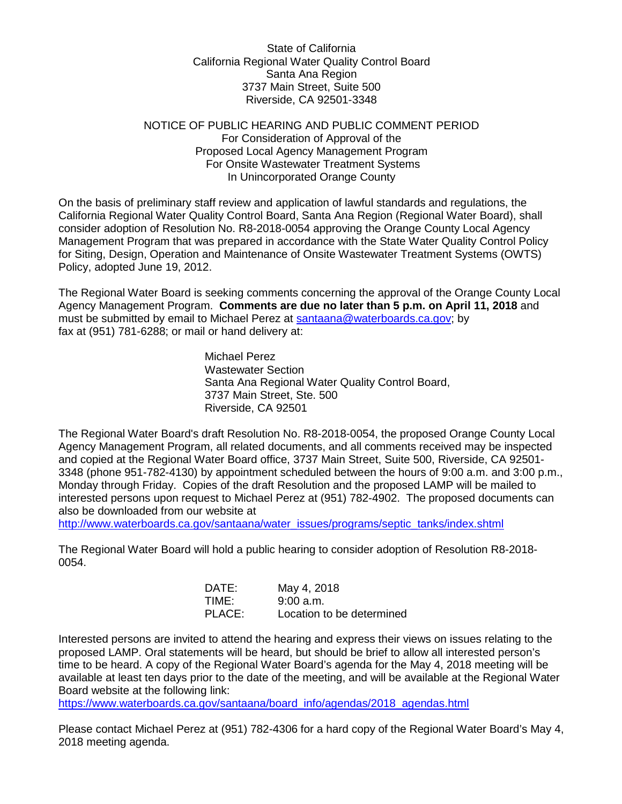State of California California Regional Water Quality Control Board Santa Ana Region 3737 Main Street, Suite 500 Riverside, CA 92501-3348

## NOTICE OF PUBLIC HEARING AND PUBLIC COMMENT PERIOD For Consideration of Approval of the Proposed Local Agency Management Program For Onsite Wastewater Treatment Systems In Unincorporated Orange County

On the basis of preliminary staff review and application of lawful standards and regulations, the California Regional Water Quality Control Board, Santa Ana Region (Regional Water Board), shall consider adoption of Resolution No. R8-2018-0054 approving the Orange County Local Agency Management Program that was prepared in accordance with the State Water Quality Control Policy for Siting, Design, Operation and Maintenance of Onsite Wastewater Treatment Systems (OWTS) Policy, adopted June 19, 2012.

The Regional Water Board is seeking comments concerning the approval of the Orange County Local Agency Management Program. **Comments are due no later than 5 p.m. on April 11, 2018** and must be submitted by email to Michael Perez at [santaana@waterboards.ca.gov;](mailto:santaana@waterboards.ca.gov) by fax at (951) 781-6288; or mail or hand delivery at:

> Michael Perez Wastewater Section Santa Ana Regional Water Quality Control Board, 3737 Main Street, Ste. 500 Riverside, CA 92501

The Regional Water Board's draft Resolution No. R8-2018-0054, the proposed Orange County Local Agency Management Program, all related documents, and all comments received may be inspected and copied at the Regional Water Board office, 3737 Main Street, Suite 500, Riverside, CA 92501- 3348 (phone 951-782-4130) by appointment scheduled between the hours of 9:00 a.m. and 3:00 p.m., Monday through Friday. Copies of the draft Resolution and the proposed LAMP will be mailed to interested persons upon request to Michael Perez at (951) 782-4902. The proposed documents can also be downloaded from our website at

[http://www.waterboards.ca.gov/santaana/water\\_issues/programs/septic\\_tanks/index.shtml](http://www.waterboards.ca.gov/santaana/water_issues/programs/septic_tanks/index.shtml)

The Regional Water Board will hold a public hearing to consider adoption of Resolution R8-2018- 0054.

| DATE:  | May 4, 2018               |
|--------|---------------------------|
| TIME:  | 9:00a.m.                  |
| PLACE: | Location to be determined |

Interested persons are invited to attend the hearing and express their views on issues relating to the proposed LAMP. Oral statements will be heard, but should be brief to allow all interested person's time to be heard. A copy of the Regional Water Board's agenda for the May 4, 2018 meeting will be available at least ten days prior to the date of the meeting, and will be available at the Regional Water Board website at the following link:

[https://www.waterboards.ca.gov/santaana/board\\_info/agendas/2018\\_agendas.html](https://www.waterboards.ca.gov/santaana/board_info/agendas/2018_agendas.html)

Please contact Michael Perez at (951) 782-4306 for a hard copy of the Regional Water Board's May 4, 2018 meeting agenda.